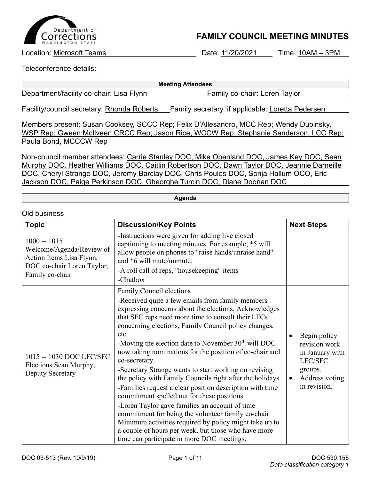

## **FAMILY COUNCIL MEETING MINUTES**

Location: Microsoft Teams **Date: 11/20/2021** Time: 10AM – 3PM

Teleconference details:

Old business

**Meeting Attendees**

Department/facility co-chair: Lisa Flynn Family co-chair: Loren Taylor

Facility/council secretary: Rhonda Roberts Family secretary, if applicable: Loretta Pedersen

Members present: Susan Cooksey, SCCC Rep; Felix D'Allesandro, MCC Rep; Wendy Dubinsky, WSP Rep; Gween McIlveen CRCC Rep; Jason Rice, WCCW Rep; Stephanie Sanderson, LCC Rep; Paula Bond, MCCCW Rep

Non-council member attendees: Carrie Stanley DOC, Mike Obenland DOC, James Key DOC, Sean Murphy DOC, Heather Williams DOC, Caitlin Robertson DOC, Dawn Taylor DOC, Jeannie Darneille DOC, Cheryl Strange DOC, Jeremy Barclay DOC, Chris Poulos DOC, Sonja Hallum OCO, Eric Jackson DOC, Paige Perkinson DOC, Gheorghe Turcin DOC, Diane Doonan DOC

**Agenda**

| <b>Topic</b>                                                                                                           | <b>Discussion/Key Points</b>                                                                                                                                                                                                                                                                                                                                                                                                                                                                                                                                                                                                                                                                                                                                                                                                                                                                              | <b>Next Steps</b>                                                                                                     |
|------------------------------------------------------------------------------------------------------------------------|-----------------------------------------------------------------------------------------------------------------------------------------------------------------------------------------------------------------------------------------------------------------------------------------------------------------------------------------------------------------------------------------------------------------------------------------------------------------------------------------------------------------------------------------------------------------------------------------------------------------------------------------------------------------------------------------------------------------------------------------------------------------------------------------------------------------------------------------------------------------------------------------------------------|-----------------------------------------------------------------------------------------------------------------------|
| $1000 - 1015$<br>Welcome/Agenda/Review of<br>Action Items Lisa Flynn,<br>DOC co-chair Loren Taylor,<br>Family co-chair | -Instructions were given for adding live closed<br>captioning to meeting minutes. For example, *5 will<br>allow people on phones to "raise hands/unraise hand"<br>and *6 will mute/unmute.<br>-A roll call of reps, "housekeeping" items<br>-Chatbox                                                                                                                                                                                                                                                                                                                                                                                                                                                                                                                                                                                                                                                      |                                                                                                                       |
| 1015 -- 1030 DOC LFC/SFC<br>Elections Sean Murphy,<br>Deputy Secretary                                                 | Family Council elections<br>-Received quite a few emails from family members<br>expressing concerns about the elections. Acknowledges<br>that SFC reps need more time to consult their LFCs<br>concerning elections, Family Council policy changes,<br>etc.<br>-Moving the election date to November $30th$ will DOC<br>now taking nominations for the position of co-chair and<br>co-secretary.<br>-Secretary Strange wants to start working on revising<br>the policy with Family Councils right after the holidays.<br>-Families request a clear position description with time<br>commitment spelled out for these positions.<br>-Loren Taylor gave families an account of time<br>commitment for being the volunteer family co-chair.<br>Minimum activities required by policy might take up to<br>a couple of hours per week, but those who have more<br>time can participate in more DOC meetings. | Begin policy<br>revision work<br>in January with<br>LFC/SFC<br>groups.<br>Address voting<br>$\bullet$<br>in revision. |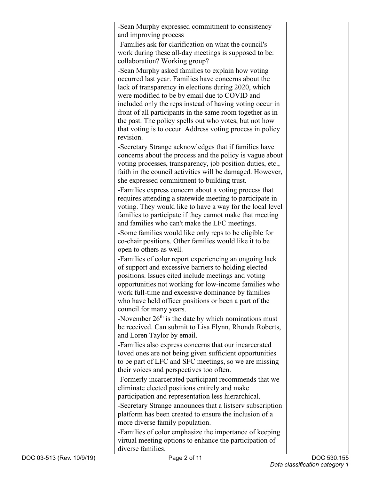| -Sean Murphy expressed commitment to consistency                                                               |  |
|----------------------------------------------------------------------------------------------------------------|--|
| and improving process                                                                                          |  |
| -Families ask for clarification on what the council's                                                          |  |
| work during these all-day meetings is supposed to be:                                                          |  |
| collaboration? Working group?                                                                                  |  |
| -Sean Murphy asked families to explain how voting                                                              |  |
| occurred last year. Families have concerns about the                                                           |  |
| lack of transparency in elections during 2020, which                                                           |  |
| were modified to be by email due to COVID and                                                                  |  |
| included only the reps instead of having voting occur in                                                       |  |
| front of all participants in the same room together as in                                                      |  |
| the past. The policy spells out who votes, but not how                                                         |  |
| that voting is to occur. Address voting process in policy                                                      |  |
| revision.                                                                                                      |  |
| -Secretary Strange acknowledges that if families have                                                          |  |
| concerns about the process and the policy is vague about                                                       |  |
| voting processes, transparency, job position duties, etc.,                                                     |  |
| faith in the council activities will be damaged. However,                                                      |  |
| she expressed commitment to building trust.                                                                    |  |
| -Families express concern about a voting process that                                                          |  |
| requires attending a statewide meeting to participate in                                                       |  |
| voting. They would like to have a way for the local level                                                      |  |
| families to participate if they cannot make that meeting                                                       |  |
| and families who can't make the LFC meetings.                                                                  |  |
| -Some families would like only reps to be eligible for                                                         |  |
| co-chair positions. Other families would like it to be<br>open to others as well.                              |  |
|                                                                                                                |  |
| -Families of color report experiencing an ongoing lack<br>of support and excessive barriers to holding elected |  |
| positions. Issues cited include meetings and voting                                                            |  |
| opportunities not working for low-income families who                                                          |  |
| work full-time and excessive dominance by families                                                             |  |
| who have held officer positions or been a part of the                                                          |  |
| council for many years.                                                                                        |  |
| -November $26th$ is the date by which nominations must                                                         |  |
| be received. Can submit to Lisa Flynn, Rhonda Roberts,                                                         |  |
| and Loren Taylor by email.                                                                                     |  |
| -Families also express concerns that our incarcerated                                                          |  |
| loved ones are not being given sufficient opportunities                                                        |  |
| to be part of LFC and SFC meetings, so we are missing                                                          |  |
| their voices and perspectives too often.                                                                       |  |
| -Formerly incarcerated participant recommends that we                                                          |  |
| eliminate elected positions entirely and make                                                                  |  |
| participation and representation less hierarchical.                                                            |  |
| -Secretary Strange announces that a listserv subscription                                                      |  |
| platform has been created to ensure the inclusion of a                                                         |  |
| more diverse family population.                                                                                |  |
| -Families of color emphasize the importance of keeping                                                         |  |
| virtual meeting options to enhance the participation of                                                        |  |
| diverse families.                                                                                              |  |
|                                                                                                                |  |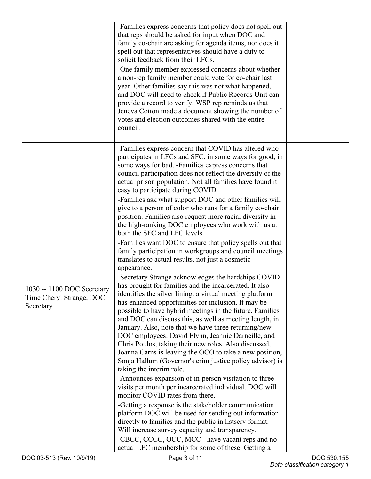|                                                                     | -Families express concerns that policy does not spell out<br>that reps should be asked for input when DOC and<br>family co-chair are asking for agenda items, nor does it<br>spell out that representatives should have a duty to<br>solicit feedback from their LFCs.<br>-One family member expressed concerns about whether<br>a non-rep family member could vote for co-chair last<br>year. Other families say this was not what happened,<br>and DOC will need to check if Public Records Unit can<br>provide a record to verify. WSP rep reminds us that<br>Jeneva Cotton made a document showing the number of<br>votes and election outcomes shared with the entire<br>council.                                                                                                                                                                                                                                                                                                                                                                                                                                                                                                                                                                                                                                                                                                                                                                                                                                                                                                                                                                                                                                                                                                                                                                                                                                                                                                      |  |
|---------------------------------------------------------------------|---------------------------------------------------------------------------------------------------------------------------------------------------------------------------------------------------------------------------------------------------------------------------------------------------------------------------------------------------------------------------------------------------------------------------------------------------------------------------------------------------------------------------------------------------------------------------------------------------------------------------------------------------------------------------------------------------------------------------------------------------------------------------------------------------------------------------------------------------------------------------------------------------------------------------------------------------------------------------------------------------------------------------------------------------------------------------------------------------------------------------------------------------------------------------------------------------------------------------------------------------------------------------------------------------------------------------------------------------------------------------------------------------------------------------------------------------------------------------------------------------------------------------------------------------------------------------------------------------------------------------------------------------------------------------------------------------------------------------------------------------------------------------------------------------------------------------------------------------------------------------------------------------------------------------------------------------------------------------------------------|--|
| 1030 -- 1100 DOC Secretary<br>Time Cheryl Strange, DOC<br>Secretary | -Families express concern that COVID has altered who<br>participates in LFCs and SFC, in some ways for good, in<br>some ways for bad. -Families express concerns that<br>council participation does not reflect the diversity of the<br>actual prison population. Not all families have found it<br>easy to participate during COVID.<br>-Families ask what support DOC and other families will<br>give to a person of color who runs for a family co-chair<br>position. Families also request more racial diversity in<br>the high-ranking DOC employees who work with us at<br>both the SFC and LFC levels.<br>-Families want DOC to ensure that policy spells out that<br>family participation in workgroups and council meetings<br>translates to actual results, not just a cosmetic<br>appearance.<br>-Secretary Strange acknowledges the hardships COVID<br>has brought for families and the incarcerated. It also<br>identifies the silver lining: a virtual meeting platform<br>has enhanced opportunities for inclusion. It may be<br>possible to have hybrid meetings in the future. Families<br>and DOC can discuss this, as well as meeting length, in<br>January. Also, note that we have three returning/new<br>DOC employees: David Flynn, Jeannie Darneille, and<br>Chris Poulos, taking their new roles. Also discussed,<br>Joanna Carns is leaving the OCO to take a new position,<br>Sonja Hallum (Governor's crim justice policy advisor) is<br>taking the interim role.<br>-Announces expansion of in-person visitation to three<br>visits per month per incarcerated individual. DOC will<br>monitor COVID rates from there.<br>-Getting a response is the stakeholder communication<br>platform DOC will be used for sending out information<br>directly to families and the public in listserv format.<br>Will increase survey capacity and transparency.<br>-CBCC, CCCC, OCC, MCC - have vacant reps and no<br>actual LFC membership for some of these. Getting a |  |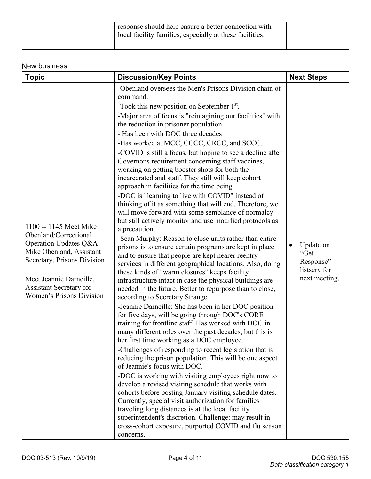| response should help ensure a better connection with<br>I local facility families, especially at these facilities. |  |
|--------------------------------------------------------------------------------------------------------------------|--|
|                                                                                                                    |  |

## New business

| <b>Topic</b>                                                                                                                                                                                                                 | <b>Discussion/Key Points</b>                                                                                                                                                                                                                                                                                                                                                                                                                                                                                                                                                                                                                                                                                                                                                                                                                                                                                                                                                                                                                                                                                                                                                                                                                                                                                                                                                                                                                                                                                                                                                                                                                                                                                                                                                                                                                                                                                                                                                                                                                                                                                                                 | <b>Next Steps</b>                                               |
|------------------------------------------------------------------------------------------------------------------------------------------------------------------------------------------------------------------------------|----------------------------------------------------------------------------------------------------------------------------------------------------------------------------------------------------------------------------------------------------------------------------------------------------------------------------------------------------------------------------------------------------------------------------------------------------------------------------------------------------------------------------------------------------------------------------------------------------------------------------------------------------------------------------------------------------------------------------------------------------------------------------------------------------------------------------------------------------------------------------------------------------------------------------------------------------------------------------------------------------------------------------------------------------------------------------------------------------------------------------------------------------------------------------------------------------------------------------------------------------------------------------------------------------------------------------------------------------------------------------------------------------------------------------------------------------------------------------------------------------------------------------------------------------------------------------------------------------------------------------------------------------------------------------------------------------------------------------------------------------------------------------------------------------------------------------------------------------------------------------------------------------------------------------------------------------------------------------------------------------------------------------------------------------------------------------------------------------------------------------------------------|-----------------------------------------------------------------|
| 1100 -- 1145 Meet Mike<br>Obenland/Correctional<br>Operation Updates Q&A<br>Mike Obenland, Assistant<br>Secretary, Prisons Division<br>Meet Jeannie Darneille,<br>Assistant Secretary for<br><b>Women's Prisons Division</b> | -Obenland oversees the Men's Prisons Division chain of<br>command.<br>-Took this new position on September $1st$ .<br>-Major area of focus is "reimagining our facilities" with<br>the reduction in prisoner population<br>- Has been with DOC three decades<br>-Has worked at MCC, CCCC, CRCC, and SCCC.<br>-COVID is still a focus, but hoping to see a decline after<br>Governor's requirement concerning staff vaccines,<br>working on getting booster shots for both the<br>incarcerated and staff. They still will keep cohort<br>approach in facilities for the time being.<br>-DOC is "learning to live with COVID" instead of<br>thinking of it as something that will end. Therefore, we<br>will move forward with some semblance of normalcy<br>but still actively monitor and use modified protocols as<br>a precaution.<br>-Sean Murphy: Reason to close units rather than entire<br>prisons is to ensure certain programs are kept in place<br>and to ensure that people are kept nearer reentry<br>services in different geographical locations. Also, doing<br>these kinds of "warm closures" keeps facility<br>infrastructure intact in case the physical buildings are<br>needed in the future. Better to repurpose than to close,<br>according to Secretary Strange.<br>-Jeannie Darneille: She has been in her DOC position<br>for five days, will be going through DOC's CORE<br>training for frontline staff. Has worked with DOC in<br>many different roles over the past decades, but this is<br>her first time working as a DOC employee<br>-Challenges of responding to recent legislation that is<br>reducing the prison population. This will be one aspect<br>of Jeannie's focus with DOC.<br>-DOC is working with visiting employees right now to<br>develop a revised visiting schedule that works with<br>cohorts before posting January visiting schedule dates.<br>Currently, special visit authorization for families<br>traveling long distances is at the local facility<br>superintendent's discretion. Challenge: may result in<br>cross-cohort exposure, purported COVID and flu season<br>concerns. | Update on<br>"Get<br>Response"<br>listserv for<br>next meeting. |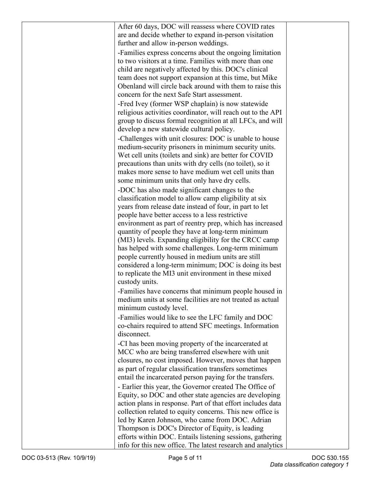| After 60 days, DOC will reassess where COVID rates                                                    |  |
|-------------------------------------------------------------------------------------------------------|--|
| are and decide whether to expand in-person visitation                                                 |  |
| further and allow in-person weddings.                                                                 |  |
| -Families express concerns about the ongoing limitation                                               |  |
| to two visitors at a time. Families with more than one                                                |  |
| child are negatively affected by this. DOC's clinical                                                 |  |
| team does not support expansion at this time, but Mike                                                |  |
| Obenland will circle back around with them to raise this                                              |  |
| concern for the next Safe Start assessment.                                                           |  |
|                                                                                                       |  |
| -Fred Ivey (former WSP chaplain) is now statewide                                                     |  |
| religious activities coordinator, will reach out to the API                                           |  |
| group to discuss formal recognition at all LFCs, and will<br>develop a new statewide cultural policy. |  |
| -Challenges with unit closures: DOC is unable to house                                                |  |
| medium-security prisoners in minimum security units.                                                  |  |
| Wet cell units (toilets and sink) are better for COVID                                                |  |
| precautions than units with dry cells (no toilet), so it                                              |  |
| makes more sense to have medium wet cell units than                                                   |  |
| some minimum units that only have dry cells.                                                          |  |
| -DOC has also made significant changes to the                                                         |  |
| classification model to allow camp eligibility at six                                                 |  |
| years from release date instead of four, in part to let                                               |  |
| people have better access to a less restrictive                                                       |  |
| environment as part of reentry prep, which has increased                                              |  |
| quantity of people they have at long-term minimum                                                     |  |
| (MI3) levels. Expanding eligibility for the CRCC camp                                                 |  |
| has helped with some challenges. Long-term minimum                                                    |  |
| people currently housed in medium units are still                                                     |  |
| considered a long-term minimum; DOC is doing its best                                                 |  |
| to replicate the MI3 unit environment in these mixed                                                  |  |
| custody units.                                                                                        |  |
| -Families have concerns that minimum people housed in                                                 |  |
| medium units at some facilities are not treated as actual                                             |  |
| minimum custody level.                                                                                |  |
| -Families would like to see the LFC family and DOC                                                    |  |
| co-chairs required to attend SFC meetings. Information                                                |  |
| disconnect.                                                                                           |  |
| -CI has been moving property of the incarcerated at                                                   |  |
| MCC who are being transferred elsewhere with unit                                                     |  |
| closures, no cost imposed. However, moves that happen                                                 |  |
| as part of regular classification transfers sometimes                                                 |  |
| entail the incarcerated person paying for the transfers.                                              |  |
| - Earlier this year, the Governor created The Office of                                               |  |
| Equity, so DOC and other state agencies are developing                                                |  |
| action plans in response. Part of that effort includes data                                           |  |
| collection related to equity concerns. This new office is                                             |  |
| led by Karen Johnson, who came from DOC. Adrian                                                       |  |
| Thompson is DOC's Director of Equity, is leading                                                      |  |
| efforts within DOC. Entails listening sessions, gathering                                             |  |
| info for this new office. The latest research and analytics                                           |  |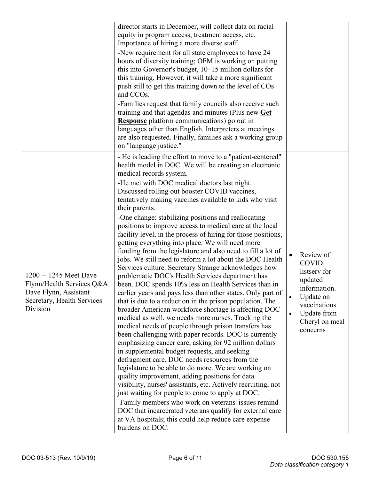|                                                                                                                        | director starts in December, will collect data on racial<br>equity in program access, treatment access, etc.<br>Importance of hiring a more diverse staff.<br>-New requirement for all state employees to have 24<br>hours of diversity training; OFM is working on putting<br>this into Governor's budget, 10–15 million dollars for<br>this training. However, it will take a more significant<br>push still to get this training down to the level of COs<br>and CCO <sub>s</sub> .<br>-Families request that family councils also receive such<br>training and that agendas and minutes (Plus new Get<br><b>Response</b> platform communications) go out in<br>languages other than English. Interpreters at meetings<br>are also requested. Finally, families ask a working group<br>on "language justice."                                                                                                                                                                                                                                                                                                                                                                                                                                                                                                                                                                                                                                                                                                                                                                                                                                                                                                                                                                                                        |                                                                                                                                                                          |
|------------------------------------------------------------------------------------------------------------------------|-------------------------------------------------------------------------------------------------------------------------------------------------------------------------------------------------------------------------------------------------------------------------------------------------------------------------------------------------------------------------------------------------------------------------------------------------------------------------------------------------------------------------------------------------------------------------------------------------------------------------------------------------------------------------------------------------------------------------------------------------------------------------------------------------------------------------------------------------------------------------------------------------------------------------------------------------------------------------------------------------------------------------------------------------------------------------------------------------------------------------------------------------------------------------------------------------------------------------------------------------------------------------------------------------------------------------------------------------------------------------------------------------------------------------------------------------------------------------------------------------------------------------------------------------------------------------------------------------------------------------------------------------------------------------------------------------------------------------------------------------------------------------------------------------------------------------|--------------------------------------------------------------------------------------------------------------------------------------------------------------------------|
| 1200 -- 1245 Meet Dave<br>Flynn/Health Services Q&A<br>Dave Flynn, Assistant<br>Secretary, Health Services<br>Division | - He is leading the effort to move to a "patient-centered"<br>health model in DOC. We will be creating an electronic<br>medical records system.<br>-He met with DOC medical doctors last night.<br>Discussed rolling out booster COVID vaccines,<br>tentatively making vaccines available to kids who visit<br>their parents.<br>-One change: stabilizing positions and reallocating<br>positions to improve access to medical care at the local<br>facility level, in the process of hiring for those positions,<br>getting everything into place. We will need more<br>funding from the legislature and also need to fill a lot of<br>jobs. We still need to reform a lot about the DOC Health<br>Services culture. Secretary Strange acknowledges how<br>problematic DOC's Health Services department has<br>been. DOC spends 10% less on Health Services than in<br>earlier years and pays less than other states. Only part of<br>that is due to a reduction in the prison population. The<br>broader American workforce shortage is affecting DOC<br>medical as well, we needs more nurses. Tracking the<br>medical needs of people through prison transfers has<br>been challenging with paper records. DOC is currently<br>emphasizing cancer care, asking for 92 million dollars<br>in supplemental budget requests, and seeking<br>defragment care. DOC needs resources from the<br>legislature to be able to do more. We are working on<br>quality improvement, adding positions for data<br>visibility, nurses' assistants, etc. Actively recruiting, not<br>just waiting for people to come to apply at DOC.<br>-Family members who work on veterans' issues remind<br>DOC that incarcerated veterans qualify for external care<br>at VA hospitals; this could help reduce care expense<br>burdens on DOC. | Review of<br><b>COVID</b><br>listserv for<br>updated<br>information.<br>Update on<br>$\bullet$<br>vaccinations<br>Update from<br>$\bullet$<br>Cheryl on meal<br>concerns |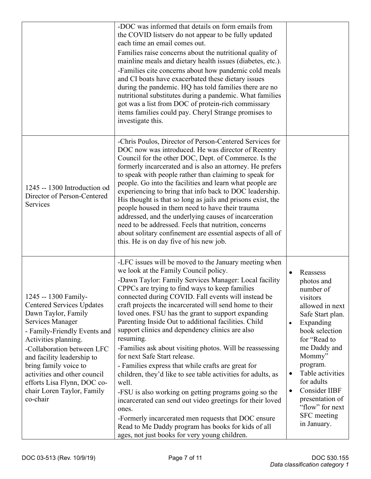|                                                                                                                                                                                                                                                                                                                                                           | -DOC was informed that details on form emails from<br>the COVID listserv do not appear to be fully updated<br>each time an email comes out.<br>Families raise concerns about the nutritional quality of<br>mainline meals and dietary health issues (diabetes, etc.).<br>-Families cite concerns about how pandemic cold meals<br>and CI boats have exacerbated these dietary issues<br>during the pandemic. HQ has told families there are no<br>nutritional substitutes during a pandemic. What families<br>got was a list from DOC of protein-rich commissary<br>items families could pay. Cheryl Strange promises to<br>investigate this.                                                                                                                                                                                                                                                                                                                                                                                     |                                                                                                                                                                                                                                                                                                                                                        |
|-----------------------------------------------------------------------------------------------------------------------------------------------------------------------------------------------------------------------------------------------------------------------------------------------------------------------------------------------------------|-----------------------------------------------------------------------------------------------------------------------------------------------------------------------------------------------------------------------------------------------------------------------------------------------------------------------------------------------------------------------------------------------------------------------------------------------------------------------------------------------------------------------------------------------------------------------------------------------------------------------------------------------------------------------------------------------------------------------------------------------------------------------------------------------------------------------------------------------------------------------------------------------------------------------------------------------------------------------------------------------------------------------------------|--------------------------------------------------------------------------------------------------------------------------------------------------------------------------------------------------------------------------------------------------------------------------------------------------------------------------------------------------------|
| 1245 -- 1300 Introduction od<br>Director of Person-Centered<br>Services                                                                                                                                                                                                                                                                                   | -Chris Poulos, Director of Person-Centered Services for<br>DOC now was introduced. He was director of Reentry<br>Council for the other DOC, Dept. of Commerce. Is the<br>formerly incarcerated and is also an attorney. He prefers<br>to speak with people rather than claiming to speak for<br>people. Go into the facilities and learn what people are<br>experiencing to bring that info back to DOC leadership.<br>His thought is that so long as jails and prisons exist, the<br>people housed in them need to have their trauma<br>addressed, and the underlying causes of incarceration<br>need to be addressed. Feels that nutrition, concerns<br>about solitary confinement are essential aspects of all of<br>this. He is on day five of his new job.                                                                                                                                                                                                                                                                   |                                                                                                                                                                                                                                                                                                                                                        |
| 1245 -- 1300 Family-<br><b>Centered Services Updates</b><br>Dawn Taylor, Family<br>Services Manager<br>- Family-Friendly Events and<br>Activities planning.<br>-Collaboration between LFC<br>and facility leadership to<br>bring family voice to<br>activities and other council<br>efforts Lisa Flynn, DOC co-<br>chair Loren Taylor, Family<br>co-chair | -LFC issues will be moved to the January meeting when<br>we look at the Family Council policy.<br>-Dawn Taylor: Family Services Manager: Local facility<br>CPPCs are trying to find ways to keep families<br>connected during COVID. Fall events will instead be<br>craft projects the incarcerated will send home to their<br>loved ones. FSU has the grant to support expanding<br>Parenting Inside Out to additional facilities. Child<br>support clinics and dependency clinics are also<br>resuming.<br>-Families ask about visiting photos. Will be reassessing<br>for next Safe Start release.<br>- Families express that while crafts are great for<br>children, they'd like to see table activities for adults, as<br>well.<br>-FSU is also working on getting programs going so the<br>incarcerated can send out video greetings for their loved<br>ones.<br>-Formerly incarcerated men requests that DOC ensure<br>Read to Me Daddy program has books for kids of all<br>ages, not just books for very young children. | Reassess<br>$\bullet$<br>photos and<br>number of<br>visitors<br>allowed in next<br>Safe Start plan.<br>Expanding<br>$\bullet$<br>book selection<br>for "Read to<br>me Daddy and<br>Mommy"<br>program.<br>Table activities<br>$\bullet$<br>for adults<br>Consider IIBF<br>$\bullet$<br>presentation of<br>"flow" for next<br>SFC meeting<br>in January. |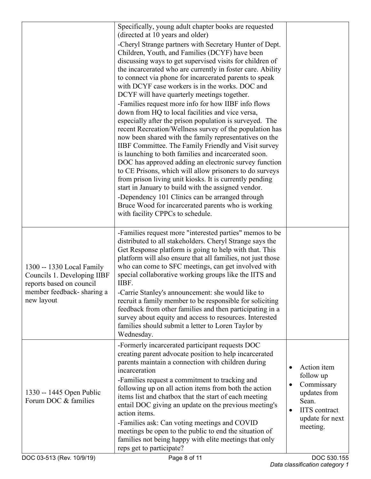|                                                                                                                                 | Specifically, young adult chapter books are requested<br>(directed at 10 years and older)<br>-Cheryl Strange partners with Secretary Hunter of Dept.<br>Children, Youth, and Families (DCYF) have been<br>discussing ways to get supervised visits for children of<br>the incarcerated who are currently in foster care. Ability<br>to connect via phone for incarcerated parents to speak<br>with DCYF case workers is in the works. DOC and<br>DCYF will have quarterly meetings together.<br>-Families request more info for how IIBF info flows<br>down from HQ to local facilities and vice versa,<br>especially after the prison population is surveyed. The<br>recent Recreation/Wellness survey of the population has<br>now been shared with the family representatives on the<br>IIBF Committee. The Family Friendly and Visit survey<br>is launching to both families and incarcerated soon.<br>DOC has approved adding an electronic survey function<br>to CE Prisons, which will allow prisoners to do surveys<br>from prison living unit kiosks. It is currently pending<br>start in January to build with the assigned vendor.<br>-Dependency 101 Clinics can be arranged through<br>Bruce Wood for incarcerated parents who is working<br>with facility CPPCs to schedule. |                                                                                                                                                  |
|---------------------------------------------------------------------------------------------------------------------------------|--------------------------------------------------------------------------------------------------------------------------------------------------------------------------------------------------------------------------------------------------------------------------------------------------------------------------------------------------------------------------------------------------------------------------------------------------------------------------------------------------------------------------------------------------------------------------------------------------------------------------------------------------------------------------------------------------------------------------------------------------------------------------------------------------------------------------------------------------------------------------------------------------------------------------------------------------------------------------------------------------------------------------------------------------------------------------------------------------------------------------------------------------------------------------------------------------------------------------------------------------------------------------------------------|--------------------------------------------------------------------------------------------------------------------------------------------------|
| 1300 -- 1330 Local Family<br>Councils 1. Developing IIBF<br>reports based on council<br>member feedback-sharing a<br>new layout | -Families request more "interested parties" memos to be<br>distributed to all stakeholders. Cheryl Strange says the<br>Get Response platform is going to help with that. This<br>platform will also ensure that all families, not just those<br>who can come to SFC meetings, can get involved with<br>special collaborative working groups like the IITS and<br>IIBF.<br>-Carrie Stanley's announcement: she would like to<br>recruit a family member to be responsible for soliciting<br>feedback from other families and then participating in a<br>survey about equity and access to resources. Interested<br>families should submit a letter to Loren Taylor by<br>Wednesday.                                                                                                                                                                                                                                                                                                                                                                                                                                                                                                                                                                                                         |                                                                                                                                                  |
| 1330 -- 1445 Open Public<br>Forum DOC & families                                                                                | -Formerly incarcerated participant requests DOC<br>creating parent advocate position to help incarcerated<br>parents maintain a connection with children during<br>incarceration<br>-Families request a commitment to tracking and<br>following up on all action items from both the action<br>items list and chatbox that the start of each meeting<br>entail DOC giving an update on the previous meeting's<br>action items.<br>-Families ask: Can voting meetings and COVID<br>meetings be open to the public to end the situation of<br>families not being happy with elite meetings that only<br>reps get to participate?                                                                                                                                                                                                                                                                                                                                                                                                                                                                                                                                                                                                                                                             | Action item<br>$\bullet$<br>follow up<br>Commissary<br>updates from<br>Sean.<br><b>IITS</b> contract<br>$\bullet$<br>update for next<br>meeting. |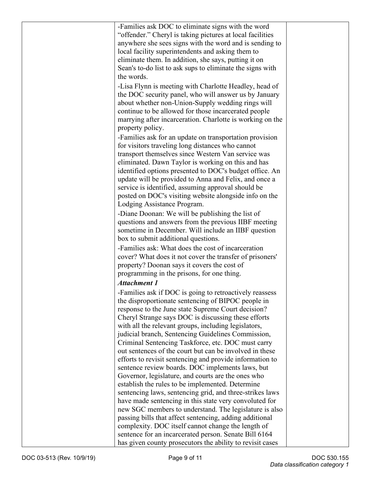| -Families ask DOC to eliminate signs with the word        |  |
|-----------------------------------------------------------|--|
| "offender." Cheryl is taking pictures at local facilities |  |
| anywhere she sees signs with the word and is sending to   |  |
| local facility superintendents and asking them to         |  |
| eliminate them. In addition, she says, putting it on      |  |
| Sean's to-do list to ask sups to eliminate the signs with |  |
| the words.                                                |  |
| -Lisa Flynn is meeting with Charlotte Headley, head of    |  |
| the DOC security panel, who will answer us by January     |  |
| about whether non-Union-Supply wedding rings will         |  |
| continue to be allowed for those incarcerated people      |  |
| marrying after incarceration. Charlotte is working on the |  |
| property policy.                                          |  |
| -Families ask for an update on transportation provision   |  |
| for visitors traveling long distances who cannot          |  |
| transport themselves since Western Van service was        |  |
| eliminated. Dawn Taylor is working on this and has        |  |
| identified options presented to DOC's budget office. An   |  |
| update will be provided to Anna and Felix, and once a     |  |
| service is identified, assuming approval should be        |  |
|                                                           |  |
| posted on DOC's visiting website alongside info on the    |  |
| Lodging Assistance Program.                               |  |
| -Diane Doonan: We will be publishing the list of          |  |
| questions and answers from the previous IIBF meeting      |  |
| sometime in December. Will include an IIBF question       |  |
| box to submit additional questions.                       |  |
| -Families ask: What does the cost of incarceration        |  |
| cover? What does it not cover the transfer of prisoners'  |  |
| property? Doonan says it covers the cost of               |  |
| programming in the prisons, for one thing.                |  |
| <b>Attachment 1</b>                                       |  |
| -Families ask if DOC is going to retroactively reassess   |  |
| the disproportionate sentencing of BIPOC people in        |  |
| response to the June state Supreme Court decision?        |  |
| Cheryl Strange says DOC is discussing these efforts       |  |
| with all the relevant groups, including legislators,      |  |
| judicial branch, Sentencing Guidelines Commission,        |  |
| Criminal Sentencing Taskforce, etc. DOC must carry        |  |
| out sentences of the court but can be involved in these   |  |
| efforts to revisit sentencing and provide information to  |  |
|                                                           |  |
| sentence review boards. DOC implements laws, but          |  |
| Governor, legislature, and courts are the ones who        |  |
| establish the rules to be implemented. Determine          |  |
| sentencing laws, sentencing grid, and three-strikes laws  |  |
| have made sentencing in this state very convoluted for    |  |
| new SGC members to understand. The legislature is also    |  |
| passing bills that affect sentencing, adding additional   |  |
| complexity. DOC itself cannot change the length of        |  |
| sentence for an incarcerated person. Senate Bill 6164     |  |
| has given county prosecutors the ability to revisit cases |  |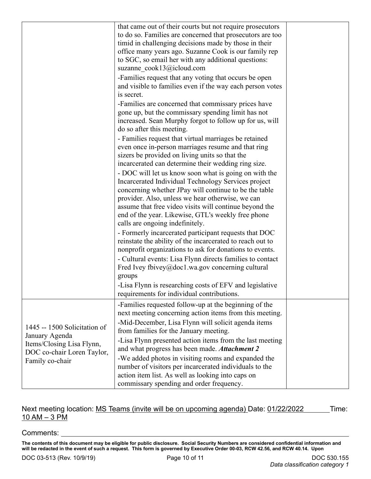|                                                                                                           | that came out of their courts but not require prosecutors<br>to do so. Families are concerned that prosecutors are too<br>timid in challenging decisions made by those in their<br>office many years ago. Suzanne Cook is our family rep<br>to SGC, so email her with any additional questions:<br>suzanne cook13@icloud.com<br>-Families request that any voting that occurs be open<br>and visible to families even if the way each person votes<br>is secret.<br>-Families are concerned that commissary prices have |  |
|-----------------------------------------------------------------------------------------------------------|-------------------------------------------------------------------------------------------------------------------------------------------------------------------------------------------------------------------------------------------------------------------------------------------------------------------------------------------------------------------------------------------------------------------------------------------------------------------------------------------------------------------------|--|
|                                                                                                           | gone up, but the commissary spending limit has not<br>increased. Sean Murphy forgot to follow up for us, will<br>do so after this meeting.                                                                                                                                                                                                                                                                                                                                                                              |  |
|                                                                                                           | - Families request that virtual marriages be retained<br>even once in-person marriages resume and that ring<br>sizers be provided on living units so that the<br>incarcerated can determine their wedding ring size.                                                                                                                                                                                                                                                                                                    |  |
|                                                                                                           | - DOC will let us know soon what is going on with the<br>Incarcerated Individual Technology Services project<br>concerning whether JPay will continue to be the table<br>provider. Also, unless we hear otherwise, we can<br>assume that free video visits will continue beyond the<br>end of the year. Likewise, GTL's weekly free phone                                                                                                                                                                               |  |
|                                                                                                           | calls are ongoing indefinitely.<br>- Formerly incarcerated participant requests that DOC<br>reinstate the ability of the incarcerated to reach out to<br>nonprofit organizations to ask for donations to events.                                                                                                                                                                                                                                                                                                        |  |
|                                                                                                           | - Cultural events: Lisa Flynn directs families to contact<br>Fred Ivey fbivey@doc1.wa.gov concerning cultural<br>groups<br>-Lisa Flynn is researching costs of EFV and legislative<br>requirements for individual contributions.                                                                                                                                                                                                                                                                                        |  |
|                                                                                                           | -Families requested follow-up at the beginning of the<br>next meeting concerning action items from this meeting.                                                                                                                                                                                                                                                                                                                                                                                                        |  |
| 1445 -- 1500 Solicitation of<br>January Agenda<br>Items/Closing Lisa Flynn,<br>DOC co-chair Loren Taylor, | -Mid-December, Lisa Flynn will solicit agenda items<br>from families for the January meeting.<br>-Lisa Flynn presented action items from the last meeting<br>and what progress has been made. Attachment 2                                                                                                                                                                                                                                                                                                              |  |
| Family co-chair                                                                                           | -We added photos in visiting rooms and expanded the<br>number of visitors per incarcerated individuals to the<br>action item list. As well as looking into caps on<br>commissary spending and order frequency.                                                                                                                                                                                                                                                                                                          |  |

## Next meeting location: MS Teams (invite will be on upcoming agenda) Date: 01/22/2022 \_\_\_\_\_\_ Time:  $10$  AM  $-$  3 PM

Comments:

**The contents of this document may be eligible for public disclosure. Social Security Numbers are considered confidential information and will be redacted in the event of such a request. This form is governed by Executive Order 00-03, RCW 42.56, and RCW 40.14. Upon**